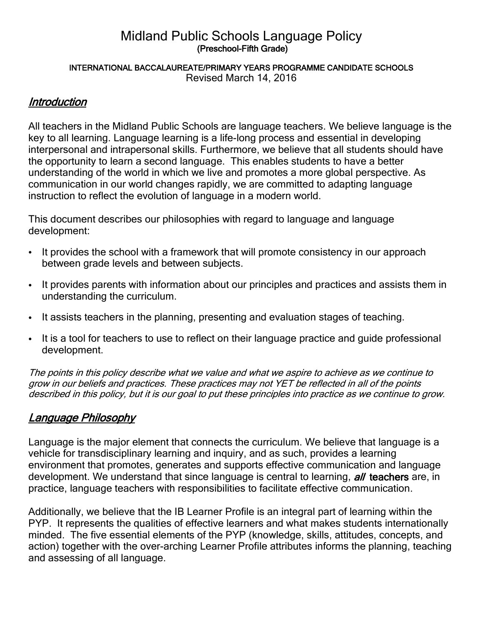### Midland Public Schools Language Policy (Preschool-Fifth Grade)

#### INTERNATIONAL BACCALAUREATE/PRIMARY YEARS PROGRAMME CANDIDATE SCHOOLS Revised March 14, 2016

### **Introduction**

All teachers in the Midland Public Schools are language teachers. We believe language is the key to all learning. Language learning is a life-long process and essential in developing interpersonal and intrapersonal skills. Furthermore, we believe that all students should have the opportunity to learn a second language. This enables students to have a better understanding of the world in which we live and promotes a more global perspective. As communication in our world changes rapidly, we are committed to adapting language instruction to reflect the evolution of language in a modern world.

This document describes our philosophies with regard to language and language development:

- It provides the school with a framework that will promote consistency in our approach between grade levels and between subjects.
- It provides parents with information about our principles and practices and assists them in understanding the curriculum.
- It assists teachers in the planning, presenting and evaluation stages of teaching.
- It is a tool for teachers to use to reflect on their language practice and guide professional development.

The points in this policy describe what we value and what we aspire to achieve as we continue to grow in our beliefs and practices. These practices may not YET be reflected in all of the points described in this policy, but it is our goal to put these principles into practice as we continue to grow.

### Language Philosophy

Language is the major element that connects the curriculum. We believe that language is a vehicle for transdisciplinary learning and inquiry, and as such, provides a learning environment that promotes, generates and supports effective communication and language development. We understand that since language is central to learning, *all* teachers are, in practice, language teachers with responsibilities to facilitate effective communication.

Additionally, we believe that the IB Learner Profile is an integral part of learning within the PYP. It represents the qualities of effective learners and what makes students internationally minded. The five essential elements of the PYP (knowledge, skills, attitudes, concepts, and action) together with the over-arching Learner Profile attributes informs the planning, teaching and assessing of all language.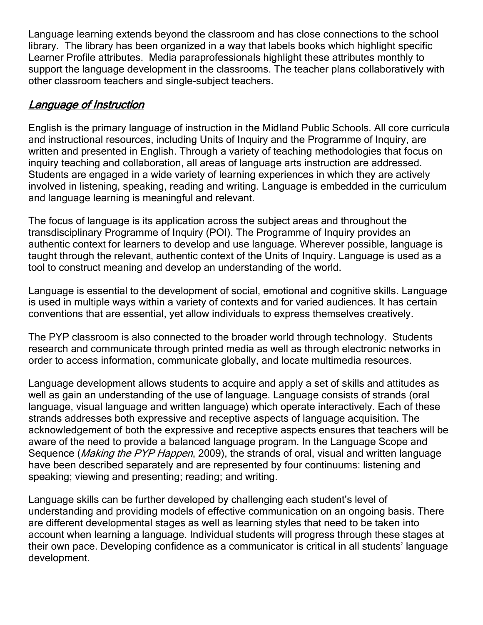Language learning extends beyond the classroom and has close connections to the school library. The library has been organized in a way that labels books which highlight specific Learner Profile attributes. Media paraprofessionals highlight these attributes monthly to support the language development in the classrooms. The teacher plans collaboratively with other classroom teachers and single-subject teachers.

### Language of Instruction

English is the primary language of instruction in the Midland Public Schools. All core curricula and instructional resources, including Units of Inquiry and the Programme of Inquiry, are written and presented in English. Through a variety of teaching methodologies that focus on inquiry teaching and collaboration, all areas of language arts instruction are addressed. Students are engaged in a wide variety of learning experiences in which they are actively involved in listening, speaking, reading and writing. Language is embedded in the curriculum and language learning is meaningful and relevant.

The focus of language is its application across the subject areas and throughout the transdisciplinary Programme of Inquiry (POI). The Programme of Inquiry provides an authentic context for learners to develop and use language. Wherever possible, language is taught through the relevant, authentic context of the Units of Inquiry. Language is used as a tool to construct meaning and develop an understanding of the world.

Language is essential to the development of social, emotional and cognitive skills. Language is used in multiple ways within a variety of contexts and for varied audiences. It has certain conventions that are essential, yet allow individuals to express themselves creatively.

The PYP classroom is also connected to the broader world through technology. Students research and communicate through printed media as well as through electronic networks in order to access information, communicate globally, and locate multimedia resources.

Language development allows students to acquire and apply a set of skills and attitudes as well as gain an understanding of the use of language. Language consists of strands (oral language, visual language and written language) which operate interactively. Each of these strands addresses both expressive and receptive aspects of language acquisition. The acknowledgement of both the expressive and receptive aspects ensures that teachers will be aware of the need to provide a balanced language program. In the Language Scope and Sequence (*Making the PYP Happen*, 2009), the strands of oral, visual and written language have been described separately and are represented by four continuums: listening and speaking; viewing and presenting; reading; and writing.

Language skills can be further developed by challenging each student's level of understanding and providing models of effective communication on an ongoing basis. There are different developmental stages as well as learning styles that need to be taken into account when learning a language. Individual students will progress through these stages at their own pace. Developing confidence as a communicator is critical in all students' language development.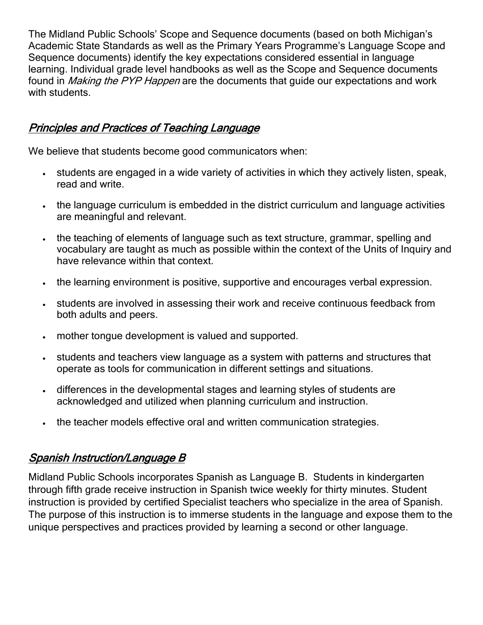The Midland Public Schools' Scope and Sequence documents (based on both Michigan's Academic State Standards as well as the Primary Years Programme's Language Scope and Sequence documents) identify the key expectations considered essential in language learning. Individual grade level handbooks as well as the Scope and Sequence documents found in *Making the PYP Happen* are the documents that guide our expectations and work with students.

## Principles and Practices of Teaching Language

We believe that students become good communicators when:

- students are engaged in a wide variety of activities in which they actively listen, speak, read and write.
- the language curriculum is embedded in the district curriculum and language activities are meaningful and relevant.
- the teaching of elements of language such as text structure, grammar, spelling and vocabulary are taught as much as possible within the context of the Units of Inquiry and have relevance within that context.
- The learning environment is positive, supportive and encourages verbal expression.
- students are involved in assessing their work and receive continuous feedback from both adults and peers.
- mother tongue development is valued and supported.
- students and teachers view language as a system with patterns and structures that operate as tools for communication in different settings and situations.
- differences in the developmental stages and learning styles of students are acknowledged and utilized when planning curriculum and instruction.
- . the teacher models effective oral and written communication strategies.

# Spanish Instruction/Language B

Midland Public Schools incorporates Spanish as Language B. Students in kindergarten through fifth grade receive instruction in Spanish twice weekly for thirty minutes. Student instruction is provided by certified Specialist teachers who specialize in the area of Spanish. The purpose of this instruction is to immerse students in the language and expose them to the unique perspectives and practices provided by learning a second or other language.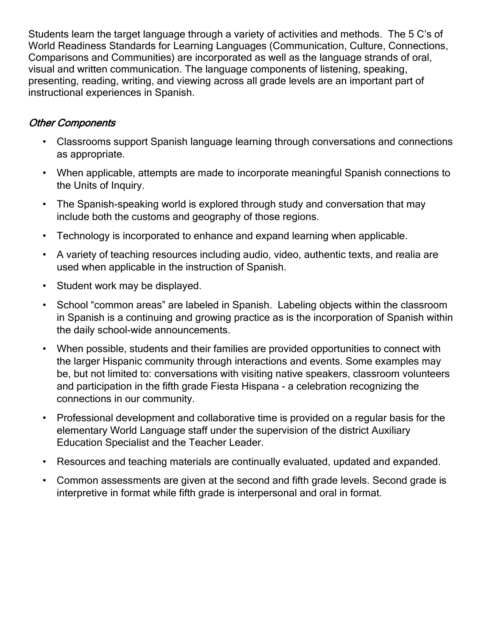Students learn the target language through a variety of activities and methods. The 5 C's of World Readiness Standards for Learning Languages (Communication, Culture, Connections, Comparisons and Communities) are incorporated as well as the language strands of oral, visual and written communication. The language components of listening, speaking, presenting, reading, writing, and viewing across all grade levels are an important part of instructional experiences in Spanish.

### Other Components

- Classrooms support Spanish language learning through conversations and connections as appropriate.
- When applicable, attempts are made to incorporate meaningful Spanish connections to the Units of Inquiry.
- The Spanish-speaking world is explored through study and conversation that may include both the customs and geography of those regions.
- Technology is incorporated to enhance and expand learning when applicable.
- A variety of teaching resources including audio, video, authentic texts, and realia are used when applicable in the instruction of Spanish.
- Student work may be displayed.
- School "common areas" are labeled in Spanish. Labeling objects within the classroom in Spanish is a continuing and growing practice as is the incorporation of Spanish within the daily school-wide announcements.
- When possible, students and their families are provided opportunities to connect with the larger Hispanic community through interactions and events. Some examples may be, but not limited to: conversations with visiting native speakers, classroom volunteers and participation in the fifth grade Fiesta Hispana - a celebration recognizing the connections in our community.
- Professional development and collaborative time is provided on a regular basis for the elementary World Language staff under the supervision of the district Auxiliary Education Specialist and the Teacher Leader.
- Resources and teaching materials are continually evaluated, updated and expanded.
- Common assessments are given at the second and fifth grade levels. Second grade is interpretive in format while fifth grade is interpersonal and oral in format.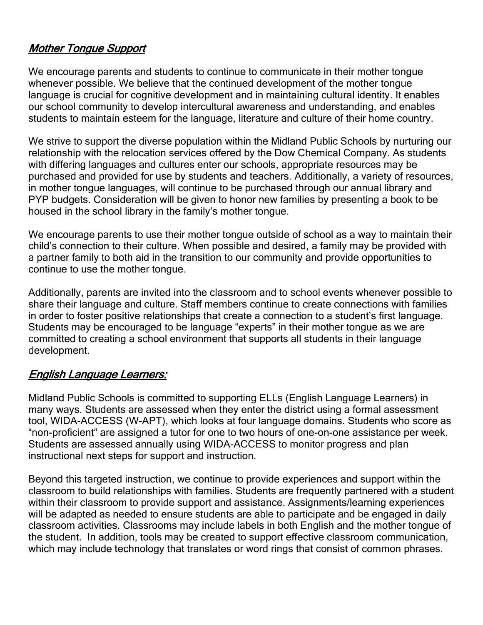### Mother Tongue Support

We encourage parents and students to continue to communicate in their mother tongue whenever possible. We believe that the continued development of the mother tonque language is crucial for cognitive development and in maintaining cultural identity. It enables our school community to develop intercultural awareness and understanding, and enables students to maintain esteem for the language, literature and culture of their home country.

We strive to support the diverse population within the Midland Public Schools by nurturing our relationship with the relocation services offered by the Dow Chemical Company. As students with differing languages and cultures enter our schools, appropriate resources may be purchased and provided for use by students and teachers. Additionally, a variety of resources, in mother tongue languages, will continue to be purchased through our annual library and PYP budgets. Consideration will be given to honor new families by presenting a book to be housed in the school library in the family's mother tongue.

We encourage parents to use their mother tongue outside of school as a way to maintain their child's connection to their culture. When possible and desired, a family may be provided with a partner family to both aid in the transition to our community and provide opportunities to continue to use the mother tongue.

Additionally, parents are invited into the classroom and to school events whenever possible to share their language and culture. Staff members continue to create connections with families in order to foster positive relationships that create a connection to a student's first language. Students may be encouraged to be language "experts" in their mother tongue as we are committed to creating a school environment that supports all students in their language development.

### English Language Learners:

Midland Public Schools is committed to supporting ELLs (English Language Learners) in many ways. Students are assessed when they enter the district using a formal assessment tool, WIDA-ACCESS (W-APT), which looks at four language domains. Students who score as "non-proficient" are assigned a tutor for one to two hours of one-on-one assistance per week. Students are assessed annually using WIDA-ACCESS to monitor progress and plan instructional next steps for support and instruction.

Beyond this targeted instruction, we continue to provide experiences and support within the classroom to build relationships with families. Students are frequently partnered with a student within their classroom to provide support and assistance. Assignments/learning experiences will be adapted as needed to ensure students are able to participate and be engaged in daily classroom activities. Classrooms may include labels in both English and the mother tongue of the student. In addition, tools may be created to support effective classroom communication, which may include technology that translates or word rings that consist of common phrases.